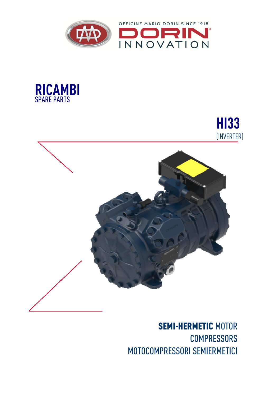







## SEMI-HERMETIC MOTOR **COMPRESSORS** MOTOCOMPRESSORI SEMIERMETICI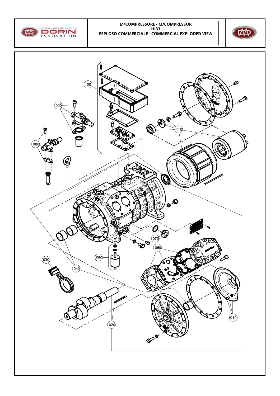

٦

**M/COMPRESSORE - M/COMPRESSOR HI33 ESPLOSO COMMERCIALE - COMMERCIAL EXPLODED VIEW**



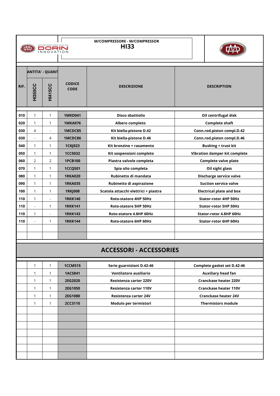| OFFICINE MARIO DORIN SINCE 1918<br>DORIN |                | M/COMPRESSORE - M/COMPRESSOR<br><b>HI33</b> |                              |                                      |                                 |                              |
|------------------------------------------|----------------|---------------------------------------------|------------------------------|--------------------------------------|---------------------------------|------------------------------|
| RIF.                                     | <b>HI355CC</b> | <b>ANTITA' - QUANT</b><br><b>HI415CC</b>    | <b>CODICE</b><br><b>CODE</b> | <b>DESCRIZIONE</b>                   | <b>DESCRIPTION</b>              |                              |
| 010                                      | $\mathbf{1}$   | 1                                           | <b>1MKD041</b>               | <b>Disco sbattiolio</b>              | Oil centrifugal disk            |                              |
| 020                                      | $\mathbf{1}$   | 1                                           | <b>1MKA076</b>               | Albero completo                      | <b>Complete shaft</b>           |                              |
| 030                                      | 4              | $\overline{\phantom{a}}$                    | 1MCDC85                      | Kit biella-pistone D.42              | Conn.rod.piston compl.D.42      |                              |
| 030                                      | L,             | 4                                           | 1MCDC86                      | Kit biella-pistone D.46              | Conn.rod.piston compl.D.46      |                              |
| 040                                      | $\mathbf{1}$   | 1                                           | <b>1CKJ023</b>               | Kit bronzine + rasamento             | <b>Bushing + trust kit</b>      |                              |
| 050                                      | $\mathbf{1}$   | 1                                           | <b>1CC5032</b>               | Kit sospensioni completo             | Vibration damper kit complete   |                              |
| 060                                      | $\overline{2}$ | 2                                           | <b>1PCB100</b>               | Piastra valvole completa             | <b>Complete valve plate</b>     |                              |
| 070                                      | $\mathbf{1}$   | 1                                           | <b>1CCQ501</b>               | Spia olio completa                   | Oil sight glass                 |                              |
| 080                                      | $\mathbf{1}$   | 1                                           | <b>1RKA020</b>               | Rubinetto di mandata                 | Discharge service valve         |                              |
| 090                                      | $\mathbf{1}$   | 1                                           | <b>1RKA035</b>               | Rubinetto di aspirazione             | <b>Suction service valve</b>    |                              |
| 100                                      | $\mathbf{1}$   | 1                                           | <b>1RKJ008</b>               | Scatola attacchi elettrici + piastra | <b>Electrical plate and box</b> |                              |
| 110                                      | $\mathbf{1}$   | $\overline{\phantom{a}}$                    | <b>1RKK140</b>               | Roto-statore 4HP 50Hz                | Stator-rotor 4HP 50Hz           |                              |
| 110                                      | $\overline{a}$ | 1                                           | <b>1RKK141</b>               | Roto-statore 5HP 50Hz                | <b>Stator-rotor 5HP 50Hz</b>    |                              |
| 110                                      | $\mathbf{1}$   | $\overline{\phantom{a}}$                    | <b>1RKK143</b>               | Roto-statore 4.8HP 60Hz              | Stator-rotor 4.8HP 60Hz         |                              |
| 110                                      | $\blacksquare$ | 1                                           | <b>1RKK144</b>               | Roto-statore 6HP 60Hz                | Stator-rotor 6HP 60Hz           |                              |
|                                          |                |                                             |                              |                                      |                                 |                              |
|                                          |                |                                             |                              |                                      |                                 |                              |
| <b>ACCESSORI - ACCESSORIES</b>           |                |                                             |                              |                                      |                                 |                              |
|                                          | 1              | $\mathbf{1}$                                | <b>1CCM515</b>               | Serie guarnizioni D.42-46            |                                 | Complete gasket set D.42-46  |
|                                          | $\mathbf{1}$   | 1                                           | <b>1ACS841</b>               | Ventilatore ausiliario               |                                 | <b>Auxiliary head fan</b>    |
|                                          | $\mathbf{1}$   | 1                                           | 2EG2020                      | Resistenza carter 220V               |                                 | <b>Cranckase heater 220V</b> |
|                                          | 1              | 1                                           | 2EG1050                      | Resistenza carter 110V               |                                 | <b>Cranckase heater 110V</b> |
|                                          | 1              | 1                                           | 2EG1080                      | Resistenza carter 24V                |                                 | <b>Cranckase heater 24V</b>  |
|                                          | $\mathbf{1}$   | 1                                           | 2CC3110                      | Modulo per termistori                |                                 | <b>Thermistors module</b>    |
|                                          |                |                                             |                              |                                      |                                 |                              |
|                                          |                |                                             |                              |                                      |                                 |                              |
|                                          |                |                                             |                              |                                      |                                 |                              |
|                                          |                |                                             |                              |                                      |                                 |                              |
|                                          |                |                                             |                              |                                      |                                 |                              |
|                                          |                |                                             |                              |                                      |                                 |                              |
|                                          |                |                                             |                              |                                      |                                 |                              |